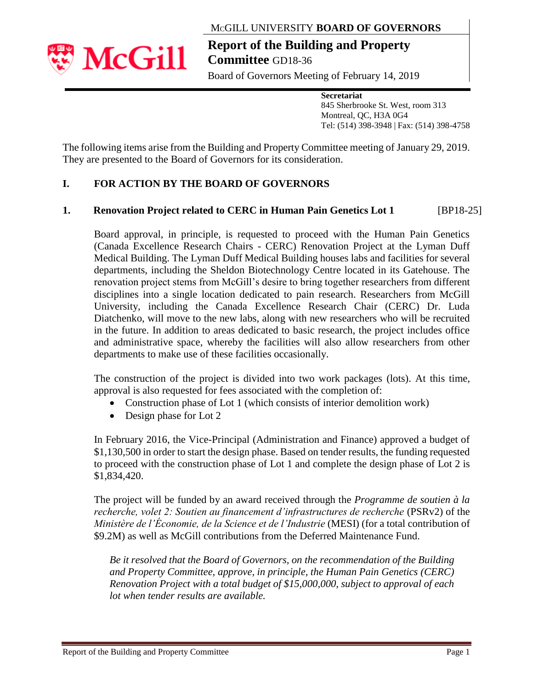MCGILL UNIVERSITY **BOARD OF GOVERNORS**



**Report of the Building and Property Committee** GD18-36

Board of Governors Meeting of February 14, 2019

**Secretariat**

845 Sherbrooke St. West, room 313 Montreal, QC, H3A 0G4 Tel: (514) 398-3948 | Fax: (514) 398-4758

The following items arise from the Building and Property Committee meeting of January 29, 2019. They are presented to the Board of Governors for its consideration.

# **I. FOR ACTION BY THE BOARD OF GOVERNORS**

## **1. Renovation Project related to CERC in Human Pain Genetics Lot 1 [BP18-25]**

Board approval, in principle, is requested to proceed with the Human Pain Genetics (Canada Excellence Research Chairs - CERC) Renovation Project at the Lyman Duff Medical Building. The Lyman Duff Medical Building houses labs and facilities for several departments, including the Sheldon Biotechnology Centre located in its Gatehouse. The renovation project stems from McGill's desire to bring together researchers from different disciplines into a single location dedicated to pain research. Researchers from McGill University, including the Canada Excellence Research Chair (CERC) Dr. Luda Diatchenko, will move to the new labs, along with new researchers who will be recruited in the future. In addition to areas dedicated to basic research, the project includes office and administrative space, whereby the facilities will also allow researchers from other departments to make use of these facilities occasionally.

The construction of the project is divided into two work packages (lots). At this time, approval is also requested for fees associated with the completion of:

- Construction phase of Lot 1 (which consists of interior demolition work)
- Design phase for Lot 2

In February 2016, the Vice-Principal (Administration and Finance) approved a budget of \$1,130,500 in order to start the design phase. Based on tender results, the funding requested to proceed with the construction phase of Lot 1 and complete the design phase of Lot 2 is \$1,834,420.

The project will be funded by an award received through the *Programme de soutien à la recherche, volet 2: Soutien au financement d'infrastructures de recherche* (PSRv2) of the *Ministère de l'Économie, de la Science et de l'Industrie* (MESI) (for a total contribution of \$9.2M) as well as McGill contributions from the Deferred Maintenance Fund.

*Be it resolved that the Board of Governors, on the recommendation of the Building and Property Committee, approve, in principle, the Human Pain Genetics (CERC) Renovation Project with a total budget of \$15,000,000, subject to approval of each lot when tender results are available.*